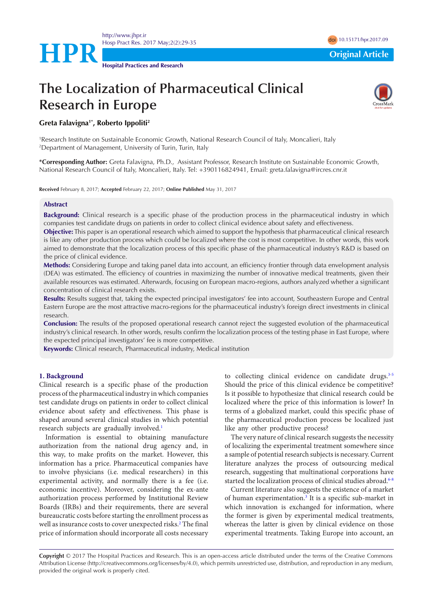

**HPR Original Article** 

**Hospital Practices and Research**

# **The Localization of Pharmaceutical Clinical Research in Europe**



## **Greta Falavigna1\*, Roberto Ippoliti2**

1 Research Institute on Sustainable Economic Growth, National Research Council of Italy, Moncalieri, Italy 2 Department of Management, University of Turin, Turin, Italy

**\*Corresponding Author:** Greta Falavigna, Ph.D., Assistant Professor, Research Institute on Sustainable Economic Growth, National Research Council of Italy, Moncalieri, Italy. Tel: +390116824941, Email: greta.falavigna@ircres.cnr.it

**Received** February 8, 2017; **Accepted** February 22, 2017; **Online Published** May 31, 2017

### **Abstract**

**Background:** Clinical research is a specific phase of the production process in the pharmaceutical industry in which companies test candidate drugs on patients in order to collect clinical evidence about safety and effectiveness.

**Objective:** This paper is an operational research which aimed to support the hypothesis that pharmaceutical clinical research is like any other production process which could be localized where the cost is most competitive. In other words, this work aimed to demonstrate that the localization process of this specific phase of the pharmaceutical industry's R&D is based on the price of clinical evidence.

**Methods:** Considering Europe and taking panel data into account, an efficiency frontier through data envelopment analysis (DEA) was estimated. The efficiency of countries in maximizing the number of innovative medical treatments, given their available resources was estimated. Afterwards, focusing on European macro-regions, authors analyzed whether a significant concentration of clinical research exists.

**Results:** Results suggest that, taking the expected principal investigators' fee into account, Southeastern Europe and Central Eastern Europe are the most attractive macro-regions for the pharmaceutical industry's foreign direct investments in clinical research.

**Conclusion:** The results of the proposed operational research cannot reject the suggested evolution of the pharmaceutical industry's clinical research. In other words, results confirm the localization process of the testing phase in East Europe, where the expected principal investigators' fee is more competitive.

**Keywords:** Clinical research, Pharmaceutical industry, Medical institution

#### **1. Background**

Clinical research is a specific phase of the production process of the pharmaceutical industry in which companies test candidate drugs on patients in order to collect clinical evidence about safety and effectiveness. This phase is shaped around several clinical studies in which potential research subjects are gradually involved.<sup>[1](#page-5-0)</sup>

Information is essential to obtaining manufacture authorization from the national drug agency and, in this way, to make profits on the market. However, this information has a price. Pharmaceutical companies have to involve physicians (i.e. medical researchers) in this experimental activity, and normally there is a fee (i.e. economic incentive). Moreover, considering the ex-ante authorization process performed by Institutional Review Boards (IRBs) and their requirements, there are several bureaucratic costs before starting the enrollment process as well as insurance costs to cover unexpected risks.<sup>2</sup> The final price of information should incorporate all costs necessary to collecting clinical evidence on candidate drugs.<sup>[3-](#page-5-2)[5](#page-5-3)</sup> Should the price of this clinical evidence be competitive? Is it possible to hypothesize that clinical research could be localized where the price of this information is lower? In terms of a globalized market, could this specific phase of the pharmaceutical production process be localized just like any other productive process?

The very nature of clinical research suggests the necessity of localizing the experimental treatment somewhere since a sample of potential research subjects is necessary. Current literature analyzes the process of outsourcing medical research, suggesting that multinational corporations have started the localization process of clinical studies abroad.<sup>[6-](#page-5-4)[8](#page-5-5)</sup>

Current literature also suggests the existence of a market of human experimentation.<sup>[3](#page-5-2)</sup> It is a specific sub-market in which innovation is exchanged for information, where the former is given by experimental medical treatments, whereas the latter is given by clinical evidence on those experimental treatments. Taking Europe into account, an

**Copyright** © 2017 The Hospital Practices and Research. This is an open-access article distributed under the terms of the Creative Commons Attribution License (http://creativecommons.org/licenses/by/4.0), which permits unrestricted use, distribution, and reproduction in any medium, provided the original work is properly cited.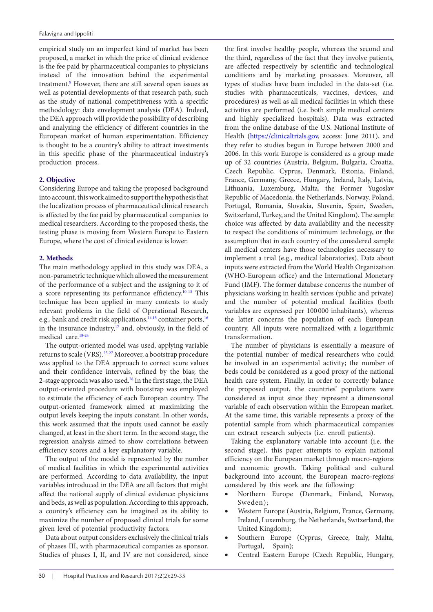empirical study on an imperfect kind of market has been proposed, a market in which the price of clinical evidence is the fee paid by pharmaceutical companies to physicians instead of the innovation behind the experimental treatment.<sup>9</sup> However, there are still several open issues as well as potential developments of that research path, such as the study of national competitiveness with a specific methodology: data envelopment analysis (DEA). Indeed, the DEA approach will provide the possibility of describing and analyzing the efficiency of different countries in the European market of human experimentation. Efficiency is thought to be a country's ability to attract investments in this specific phase of the pharmaceutical industry's production process.

#### **2. Objective**

Considering Europe and taking the proposed background into account, this work aimed to support the hypothesis that the localization process of pharmaceutical clinical research is affected by the fee paid by pharmaceutical companies to medical researchers. According to the proposed thesis, the testing phase is moving from Western Europe to Eastern Europe, where the cost of clinical evidence is lower.

#### **2. Methods**

The main methodology applied in this study was DEA, a non-parametric technique which allowed the measurement of the performance of a subject and the assigning to it of a score representing its performance efficiency.[10-](#page-5-7)[13](#page-5-8) This technique has been applied in many contexts to study relevant problems in the field of Operational Research, e.g., bank and credit risk applications, $14,15$  $14,15$  container ports,  $16$ in the insurance industry, $17$  and, obviously, in the field of medical care.[18](#page-5-13)[-24](#page-5-14)

The output-oriented model was used, applying variable returns to scale (VRS)[.25-](#page-5-15)[27](#page-5-16) Moreover, a bootstrap procedure was applied to the DEA approach to correct score values and their confidence intervals, refined by the bias; the 2-stage approach was also used.[28](#page-5-17) In the first stage, the DEA output-oriented procedure with bootstrap was employed to estimate the efficiency of each European country. The output-oriented framework aimed at maximizing the output levels keeping the inputs constant. In other words, this work assumed that the inputs used cannot be easily changed, at least in the short term. In the second stage, the regression analysis aimed to show correlations between efficiency scores and a key explanatory variable.

The output of the model is represented by the number of medical facilities in which the experimental activities are performed. According to data availability, the input variables introduced in the DEA are all factors that might affect the national supply of clinical evidence: physicians and beds, as well as population. According to this approach, a country's efficiency can be imagined as its ability to maximize the number of proposed clinical trials for some given level of potential productivity factors.

Data about output considers exclusively the clinical trials of phases III, with pharmaceutical companies as sponsor. Studies of phases I, II, and IV are not considered, since

the first involve healthy people, whereas the second and the third, regardless of the fact that they involve patients, are affected respectively by scientific and technological conditions and by marketing processes. Moreover, all types of studies have been included in the data-set (i.e. studies with pharmaceuticals, vaccines, devices, and procedures) as well as all medical facilities in which these activities are performed (i.e. both simple medical centers and highly specialized hospitals). Data was extracted from the online database of the U.S. National Institute of Health (<https://clinicaltrials.gov>, access: June 2011), and they refer to studies begun in Europe between 2000 and 2006. In this work Europe is considered as a group made up of 32 countries (Austria, Belgium, Bulgaria, Croatia, Czech Republic, Cyprus, Denmark, Estonia, Finland, France, Germany, Greece, Hungary, Ireland, Italy, Latvia, Lithuania, Luxemburg, Malta, the Former Yugoslav Republic of Macedonia, the Netherlands, Norway, Poland, Portugal, Romania, Slovakia, Slovenia, Spain, Sweden, Switzerland, Turkey, and the United Kingdom). The sample choice was affected by data availability and the necessity to respect the conditions of minimum technology, or the assumption that in each country of the considered sample all medical centers have those technologies necessary to implement a trial (e.g., medical laboratories). Data about inputs were extracted from the World Health Organization (WHO-European office) and the International Monetary Fund (IMF). The former database concerns the number of physicians working in health services (public and private) and the number of potential medical facilities (both variables are expressed per 100 000 inhabitants), whereas the latter concerns the population of each European country. All inputs were normalized with a logarithmic transformation.

The number of physicians is essentially a measure of the potential number of medical researchers who could be involved in an experimental activity; the number of beds could be considered as a good proxy of the national health care system. Finally, in order to correctly balance the proposed output, the countries' populations were considered as input since they represent a dimensional variable of each observation within the European market. At the same time, this variable represents a proxy of the potential sample from which pharmaceutical companies can extract research subjects (i.e. enroll patients).

Taking the explanatory variable into account (i.e. the second stage), this paper attempts to explain national efficiency on the European market through macro-regions and economic growth. Taking political and cultural background into account, the European macro-regions considered by this work are the following:

- • Northern Europe (Denmark, Finland, Norway, Sweden);
- Western Europe (Austria, Belgium, France, Germany, Ireland, Luxemburg, the Netherlands, Switzerland, the United Kingdom);
- Southern Europe (Cyprus, Greece, Italy, Malta, Portugal, Spain);
- Central Eastern Europe (Czech Republic, Hungary,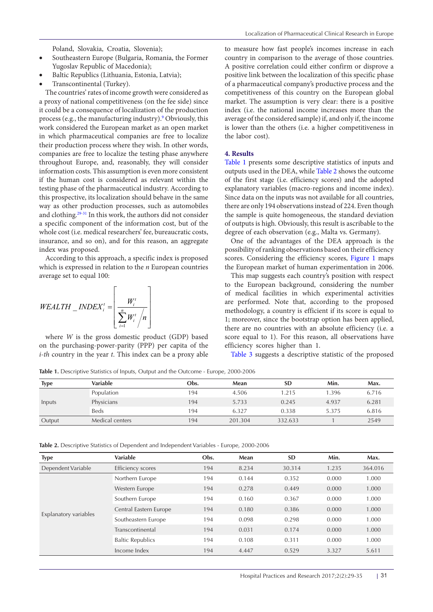Poland, Slovakia, Croatia, Slovenia);

- Southeastern Europe (Bulgaria, Romania, the Former Yugoslav Republic of Macedonia);
- Baltic Republics (Lithuania, Estonia, Latvia);
- Transcontinental (Turkey).

The countries' rates of income growth were considered as a proxy of national competitiveness (on the fee side) since it could be a consequence of localization of the production process (e.g., the manufacturing industry).<sup>9</sup> Obviously, this work considered the European market as an open market in which pharmaceutical companies are free to localize their production process where they wish. In other words, companies are free to localize the testing phase anywhere throughout Europe, and, reasonably, they will consider information costs. This assumption is even more consistent if the human cost is considered as relevant within the testing phase of the pharmaceutical industry. According to this prospective, its localization should behave in the same way as other production processes, such as automobiles and clothing[.29-](#page-5-18)[31](#page-6-0) In this work, the authors did not consider a specific component of the information cost, but of the whole cost (i.e. medical researchers' fee, bureaucratic costs, insurance, and so on), and for this reason, an aggregate index was proposed.

According to this approach, a specific index is proposed which is expressed in relation to the *n* European countries average set to equal 100:

$$
WEALTH\_INDEX_i^t = \left\lfloor \frac{W_i^t}{\sum_{i=1}^n W_i^t/n} \right\rfloor
$$

where *W* is the gross domestic product (GDP) based on the purchasing-power-parity (PPP) per capita of the *i-th* country in the year *t*. This index can be a proxy able

to measure how fast people's incomes increase in each country in comparison to the average of those countries. A positive correlation could either confirm or disprove a positive link between the localization of this specific phase of a pharmaceutical company's productive process and the competitiveness of this country on the European global market. The assumption is very clear: there is a positive index (i.e. the national income increases more than the average of the considered sample) if, and only if, the income is lower than the others (i.e. a higher competitiveness in the labor cost).

#### **4. Results**

[Table 1](#page-2-0) presents some descriptive statistics of inputs and outputs used in the DEA, while [Table 2](#page-2-1) shows the outcome of the first stage (i.e. efficiency scores) and the adopted explanatory variables (macro-regions and income index). Since data on the inputs was not available for all countries, there are only 194 observations instead of 224. Even though the sample is quite homogeneous, the standard deviation of outputs is high. Obviously, this result is ascribable to the degree of each observation (e.g., Malta vs. Germany).

One of the advantages of the DEA approach is the possibility of ranking observations based on their efficiency scores. Considering the efficiency scores, [Figure 1](#page-3-0) maps the European market of human experimentation in 2006.

This map suggests each country's position with respect to the European background, considering the number of medical facilities in which experimental activities are performed. Note that, according to the proposed methodology, a country is efficient if its score is equal to 1; moreover, since the bootstrap option has been applied, there are no countries with an absolute efficiency (i.e. a score equal to 1). For this reason, all observations have efficiency scores higher than 1.

[Table 3](#page-3-1) suggests a descriptive statistic of the proposed

<span id="page-2-0"></span>**Table 1.** Descriptive Statistics of Inputs, Output and the Outcome - Europe, 2000-2006

| <b>Type</b> | Variable        | Obs. | Mean    | <b>SD</b> | Min.  | Max.  |
|-------------|-----------------|------|---------|-----------|-------|-------|
|             | Population      | 194  | 4.506   | 1.215     | 1.396 | 6.716 |
| Inputs      | Physicians      | 194  | 5.733   | 0.245     | 4.937 | 6.281 |
|             | Beds            | 194  | 6.327   | 0.338     | 5.375 | 6.816 |
| Output      | Medical centers | 194  | 201.304 | 332.633   |       | 2549  |

<span id="page-2-1"></span>**Table 2.** Descriptive Statistics of Dependent and Independent Variables - Europe, 2000-2006

| <b>Type</b>           | <b>Variable</b>         | Obs. | Mean  | <b>SD</b> | Min.  | Max.    |
|-----------------------|-------------------------|------|-------|-----------|-------|---------|
| Dependent Variable    | Efficiency scores       | 194  | 8.234 | 30.314    | 1.235 | 364.016 |
|                       | Northern Europe         | 194  | 0.144 | 0.352     | 0.000 | 1.000   |
|                       | Western Europe          | 194  | 0.278 | 0.449     | 0.000 | 1.000   |
|                       | Southern Europe         | 194  | 0.160 | 0.367     | 0.000 | 1.000   |
|                       | Central Eastern Europe  | 194  | 0.180 | 0.386     | 0.000 | 1.000   |
| Explanatory variables | Southeastern Europe     | 194  | 0.098 | 0.298     | 0.000 | 1.000   |
|                       | Transcontinental        | 194  | 0.031 | 0.174     | 0.000 | 1.000   |
|                       | <b>Baltic Republics</b> | 194  | 0.108 | 0.311     | 0.000 | 1.000   |
|                       | Income Index            | 194  | 4.447 | 0.529     | 3.327 | 5.611   |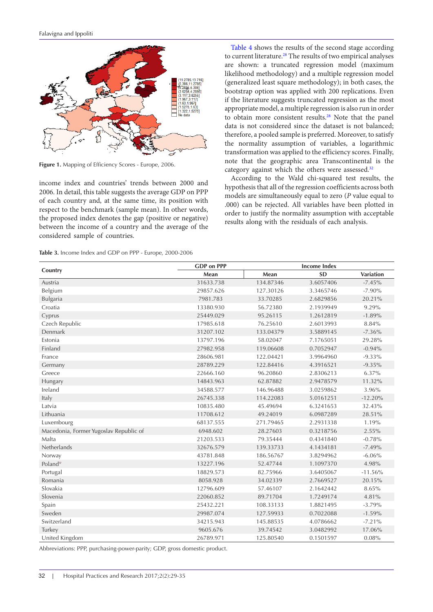<span id="page-3-0"></span>

**Figure 1.** Mapping of Efficiency Scores - Europe, 2006.

income index and countries' trends between 2000 and 2006. In detail, this table suggests the average GDP on PPP of each country and, at the same time, its position with respect to the benchmark (sample mean). In other words, the proposed index denotes the gap (positive or negative) between the income of a country and the average of the considered sample of countries.

<span id="page-3-1"></span>**Table 3.** Income Index and GDP on PPP - Europe, 2000-2006

[Table 4](#page-4-0) shows the results of the second stage according to current literature.<sup>28</sup> The results of two empirical analyses are shown: a truncated regression model (maximum likelihood methodology) and a multiple regression model (generalized least square methodology); in both cases, the bootstrap option was applied with 200 replications. Even if the literature suggests truncated regression as the most appropriate model, a multiple regression is also run in order to obtain more consistent results[.28](#page-5-17) Note that the panel data is not considered since the dataset is not balanced; therefore, a pooled sample is preferred. Moreover, to satisfy the normality assumption of variables, a logarithmic transformation was applied to the efficiency scores. Finally, note that the geographic area Transcontinental is the category against which the others were assessed.<sup>[32](#page-6-1)</sup>

According to the Wald chi-squared test results, the hypothesis that all of the regression coefficients across both models are simultaneously equal to zero (*P* value equal to .000) can be rejected. All variables have been plotted in order to justify the normality assumption with acceptable results along with the residuals of each analysis.

|                                        | <b>GDP</b> on PPP |           | <b>Income Index</b> |                  |
|----------------------------------------|-------------------|-----------|---------------------|------------------|
| Country                                | Mean              | Mean      | <b>SD</b>           | <b>Variation</b> |
| Austria                                | 31633.738         | 134.87346 | 3.6057406           | $-7.45%$         |
| Belgium                                | 29857.626         | 127.30126 | 3.3465746           | $-7.90\%$        |
| Bulgaria                               | 7981.783          | 33.70285  | 2.6829856           | 20.21%           |
| Croatia                                | 13380.930         | 56.72380  | 2.1939949           | 9.29%            |
| Cyprus                                 | 25449.029         | 95.26115  | 1.2612819           | $-1.89%$         |
| Czech Republic                         | 17985.618         | 76.25610  | 2.6013993           | 8.84%            |
| Denmark                                | 31207.102         | 133.04379 | 3.5889145           | $-7.36%$         |
| Estonia                                | 13797.196         | 58.02047  | 7.1765051           | 29.28%           |
| Finland                                | 27982.958         | 119.06608 | 0.7052947           | $-0.94%$         |
| France                                 | 28606.981         | 122.04421 | 3.9964960           | $-9.33\%$        |
| Germany                                | 28789.229         | 122.84416 | 4.3916521           | $-9.35%$         |
| Greece                                 | 22666.160         | 96.20860  | 2.8306213           | 6.37%            |
| Hungary                                | 14843.963         | 62.87882  | 2.9478579           | 11.32%           |
| Ireland                                | 34588.577         | 146.96488 | 3.0259862           | 3.96%            |
| Italy                                  | 26745.338         | 114.22083 | 5.0161251           | $-12.20%$        |
| Latvia                                 | 10835.480         | 45.49694  | 6.3241653           | 32.43%           |
| Lithuania                              | 11708.612         | 49.24019  | 6.0987289           | 28.51%           |
| Luxembourg                             | 68137.555         | 271.79465 | 2.2931338           | 1.19%            |
| Macedonia, Former Yugoslav Republic of | 6948.602          | 28.27603  | 0.3218756           | 2.55%            |
| Malta                                  | 21203.533         | 79.35444  | 0.4341840           | $-0.78%$         |
| Netherlands                            | 32676.579         | 139.33733 | 4.1434181           | $-7.49%$         |
| Norway                                 | 43781.848         | 186.56767 | 3.8294962           | $-6.06%$         |
| Poland <sup>w</sup>                    | 13227.196         | 52.47744  | 1.1097370           | 4.98%            |
| Portugal                               | 18829.573         | 82.75966  | 3.6405067           | $-11.56%$        |
| Romania                                | 8058.928          | 34.02339  | 2.7669527           | 20.15%           |
| Slovakia                               | 12796.609         | 57.46107  | 2.1642442           | 8.65%            |
| Slovenia                               | 22060.852         | 89.71704  | 1.7249174           | 4.81%            |
| Spain                                  | 25432.221         | 108.33133 | 1.8821495           | $-3.79%$         |
| Sweden                                 | 29987.074         | 127.59933 | 0.7022088           | $-1.59%$         |
| Switzerland                            | 34215.943         | 145.88535 | 4.0786662           | $-7.21%$         |
| Turkey                                 | 9605.676          | 39.74542  | 3.0482992           | 17.06%           |
| United Kingdom                         | 26789.971         | 125.80540 | 0.1501597           | 0.08%            |

Abbreviations: PPP, purchasing-power-parity; GDP, gross domestic product.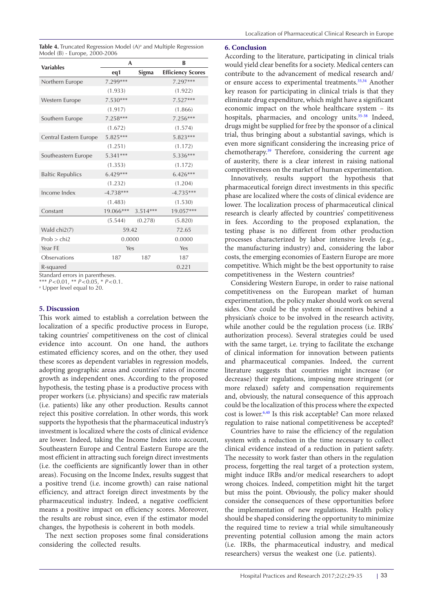<span id="page-4-0"></span>**Table 4.** Truncated Regression Model (A)<sup>a</sup> and Multiple Regression Model (B) - Europe, 2000-2006

| <b>Variables</b>        | A           |            | R                        |  |
|-------------------------|-------------|------------|--------------------------|--|
|                         | eq1         | Sigma      | <b>Efficiency Scores</b> |  |
| Northern Europe         | 7.299***    |            | 7.297***                 |  |
|                         | (1.933)     |            | (1.922)                  |  |
| Western Europe          | $7.530***$  |            | $7.527***$               |  |
|                         | (1.917)     |            | (1.866)                  |  |
| Southern Europe         | $7.258***$  |            | 7.256***                 |  |
|                         | (1.672)     |            | (1.574)                  |  |
| Central Eastern Europe  | $5.825***$  |            | $5.823***$               |  |
|                         | (1.251)     |            | (1.172)                  |  |
| Southeastern Europe     | $5.341***$  |            | $5.336***$               |  |
|                         | (1.353)     |            | (1.172)                  |  |
| <b>Baltic Republics</b> | $6.429***$  |            | $6.426***$               |  |
|                         | (1.232)     |            | (1.204)                  |  |
| Income Index            | $-4.738***$ |            | $-4.735***$              |  |
|                         | (1.483)     |            | (1.530)                  |  |
| Constant                | 19.066***   | $3.514***$ | 19.057***                |  |
|                         | (5.544)     | (0.278)    | (5.820)                  |  |
| Wald chi2(7)            | 59.42       |            | 72.65                    |  |
| Prob > chi2             | 0.0000      |            | 0.0000                   |  |
| Year FE                 | Yes         |            | Yes                      |  |
| Observations            | 187         | 187        | 187                      |  |
| R-squared               |             |            | 0.221                    |  |

Standard errors in parentheses.

\*\*\* *P<*0.01, \*\* *P<*0.05, \* *P<*0.1.

a Upper level equal to 20.

#### **5. Discussion**

This work aimed to establish a correlation between the localization of a specific productive process in Europe, taking countries' competitiveness on the cost of clinical evidence into account. On one hand, the authors estimated efficiency scores, and on the other, they used these scores as dependent variables in regression models, adopting geographic areas and countries' rates of income growth as independent ones. According to the proposed hypothesis, the testing phase is a productive process with proper workers (i.e. physicians) and specific raw materials (i.e. patients) like any other production. Results cannot reject this positive correlation. In other words, this work supports the hypothesis that the pharmaceutical industry's investment is localized where the costs of clinical evidence are lower. Indeed, taking the Income Index into account, Southeastern Europe and Central Eastern Europe are the most efficient in attracting such foreign direct investments (i.e. the coefficients are significantly lower than in other areas). Focusing on the Income Index, results suggest that a positive trend (i.e. income growth) can raise national efficiency, and attract foreign direct investments by the pharmaceutical industry. Indeed, a negative coefficient means a positive impact on efficiency scores. Moreover, the results are robust since, even if the estimator model changes, the hypothesis is coherent in both models.

The next section proposes some final considerations considering the collected results.

#### **6. Conclusion**

According to the literature, participating in clinical trials would yield clear benefits for a society. Medical centers can contribute to the advancement of medical research and/ or ensure access to experimental treatments.<sup>[33](#page-6-2),[34](#page-6-3)</sup> Another key reason for participating in clinical trials is that they eliminate drug expenditure, which might have a significant economic impact on the whole healthcare system – its hospitals, pharmacies, and oncology units.<sup>35-38</sup> Indeed, drugs might be supplied for free by the sponsor of a clinical trial, thus bringing about a substantial savings, which is even more significant considering the increasing price of chemotherapy.<sup>[39](#page-6-6)</sup> Therefore, considering the current age of austerity, there is a clear interest in raising national competitiveness on the market of human experimentation.

Innovatively, results support the hypothesis that pharmaceutical foreign direct investments in this specific phase are localized where the costs of clinical evidence are lower. The localization process of pharmaceutical clinical research is clearly affected by countries' competitiveness in fees. According to the proposed explanation, the testing phase is no different from other production processes characterized by labor intensive levels (e.g., the manufacturing industry) and, considering the labor costs, the emerging economies of Eastern Europe are more competitive. Which might be the best opportunity to raise competitiveness in the Western countries?

Considering Western Europe, in order to raise national competitiveness on the European market of human experimentation, the policy maker should work on several sides. One could be the system of incentives behind a physician's choice to be involved in the research activity, while another could be the regulation process (i.e. IRBs' authorization process). Several strategies could be used with the same target, i.e. trying to facilitate the exchange of clinical information for innovation between patients and pharmaceutical companies. Indeed, the current literature suggests that countries might increase (or decrease) their regulations, imposing more stringent (or more relaxed) safety and compensation requirements and, obviously, the natural consequence of this approach could be the localization of this process where the expected cost is lower[.6](#page-5-4),[40](#page-6-7) Is this risk acceptable? Can more relaxed regulation to raise national competitiveness be accepted?

Countries have to raise the efficiency of the regulation system with a reduction in the time necessary to collect clinical evidence instead of a reduction in patient safety. The necessity to work faster than others in the regulation process, forgetting the real target of a protection system, might induce IRBs and/or medical researchers to adopt wrong choices. Indeed, competition might hit the target but miss the point. Obviously, the policy maker should consider the consequences of these opportunities before the implementation of new regulations. Health policy should be shaped considering the opportunity to minimize the required time to review a trial while simultaneously preventing potential collusion among the main actors (i.e. IRBs, the pharmaceutical industry, and medical researchers) versus the weakest one (i.e. patients).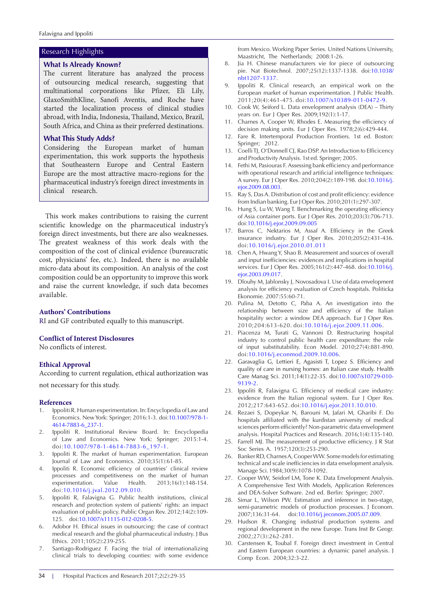#### **What Is Already Known?**

The current literature has analyzed the process of outsourcing medical research, suggesting that multinational corporations like Pfizer, Eli Lily, GlaxoSmithKline, Sanofi Aventis, and Roche have started the localization process of clinical studies abroad, with India, Indonesia, Thailand, Mexico, Brazil, South Africa, and China as their preferred destinations.

#### **What This Study Adds?**

Considering the European market of human experimentation, this work supports the hypothesis that Southeastern Europe and Central Eastern Europe are the most attractive macro-regions for the pharmaceutical industry's foreign direct investments in clinical research.

This work makes contributions to raising the current scientific knowledge on the pharmaceutical industry's foreign direct investments, but there are also weaknesses. The greatest weakness of this work deals with the composition of the cost of clinical evidence (bureaucratic cost, physicians' fee, etc.). Indeed, there is no available micro-data about its composition. An analysis of the cost composition could be an opportunity to improve this work and raise the current knowledge, if such data becomes available.

#### **Authors' Contributions**

RI and GF contributed equally to this manuscript.

#### **Conflict of Interest Disclosures**

No conflicts of interest.

#### **Ethical Approval**

According to current regulation, ethical authorization was not necessary for this study.

# **References**

- <span id="page-5-0"></span>1. Ippoliti R. Human experimentation. In: Encyclopedia of Law and Economics. New York: Springer; 2016:1-3. doi[:10.1007/978-1-](http://dx.doi.org/10.1007/978-1-4614-7883-6_237-1) [4614-7883-6\\_237-1](http://dx.doi.org/10.1007/978-1-4614-7883-6_237-1).
- <span id="page-5-1"></span>2. Ippoliti R. Institutional Review Board. In: Encyclopedia of Law and Economics. New York: Springer; 2015:1-4. doi:[10.1007/978-1-4614-7883-6\\_197-1.](http://dx.doi.org/10.1007/978-1-4614-7883-6_197-1)
- <span id="page-5-2"></span>3. Ippoliti R. The market of human experimentation. European Journal of Law and Economics. 2010;35(1):61-85.
- 4. Ippoliti R. Economic efficiency of countries' clinical review processes and competitiveness on the market of human experimentation. Value Health. 2013;16(1):148-154. doi:[10.1016/j.jval.2012.09.010](http://dx.doi.org/10.1016/j.jval.2012.09.010).
- <span id="page-5-3"></span>5. Ippoliti R, Falavigna G. Public health institutions, clinical research and protection system of patients' rights: an impact evaluation of public policy. Public Organ Rev. 2012;14(2):109- 125. doi:[10.1007/s11115-012-0208-5.](http://dx.doi.org/10.1007/s11115-012-0208-5)
- <span id="page-5-4"></span>6. Adobor H. Ethical issues in outsourcing: the case of contract medical research and the global pharmaceutical industry. J Bus Ethics. 2011;105(2):239-255.
- 7. Santiago-Rodriguez F. Facing the trial of internationalizing clinical trials to developing counties: with some evidence

Research Highlights **From Mexico. Working Paper Series. United Nations University,** Maastricht, The Netherlands; 2008:1-26.

- <span id="page-5-5"></span>8. Jia H. Chinese manufacturers vie for piece of outsourcing pie. Nat Biotechnol. 2007;25(12):1337-1338. doi[:10.1038/](http://dx.doi.org/10.1038/nbt1207-1337) [nbt1207-1337](http://dx.doi.org/10.1038/nbt1207-1337).
- <span id="page-5-6"></span>Ippoliti R. Clinical research, an empirical work on the European market of human experimentation. J Public Health. 2011;20(4):461-475. doi[:10.1007/s10389-011-0472-9.](http://dx.doi.org/10.1007/s10389-011-0472-9 )
- <span id="page-5-7"></span>10. Cook W, Seiford L. Data envelopment analysis (DEA) – Thirty years on. Eur J Oper Res. 2009;192(1):1-17.
- 11. Charnes A, Cooper W, Rhodes E. Measuring the efficiency of decision making units. Eur J Oper Res. 1978;2(6):429-444.
- 12. Fare R. Intertemporal Production Frontiers. 1st ed. Boston: Springer; 2012.
- <span id="page-5-8"></span>13. Coelli TJ, O'Donnell CJ, Rao DSP. An Introduction to Efficicency and Productivity Analysis. 1st ed. Springer; 2005.
- <span id="page-5-9"></span>14. Fethi M, Pasiouras F. Assessing bank efficiency and performance with operational research and artificial intelligence techniques: A survey. Eur J Oper Res. 2010;204(2):189-198. doi:[10.1016/j.](http://dx.doi.org/10.1016/j.ejor.2009.08.003) [ejor.2009.08.003.](http://dx.doi.org/10.1016/j.ejor.2009.08.003)
- <span id="page-5-10"></span>15. Ray S, Das A. Distribution of cost and profit efficiency: evidence from Indian banking. Eur J Oper Res. 2010;201(1):297-307.
- <span id="page-5-11"></span>16. Hung S, Lu W, Wang T. Benchmarking the operating efficiency of Asia container ports. Eur J Oper Res. 2010;203(3):706-713. doi[:10.1016/j.ejor.2009.09.005](http://dx.doi.org/10.1016/j.ejor.2009.09.005 )
- <span id="page-5-12"></span>17. Barros C, Nektarios M, Assaf A. Efficiency in the Greek insurance industry. Eur J Oper Res. 2010;205(2):431-436. doi:[10.1016/j.ejor.2010.01.011](http://dx.doi.org/10.1016/j.ejor.2010.01.011 )
- <span id="page-5-13"></span>18. Chen A, Hwang Y, Shao B. Measurement and sources of overall and input inefficiencies: evidences and implications in hospital services. Eur J Oper Res. 2005;161(2):447-468. doi:[10.1016/j.](http://dx.doi.org/10.1016/j.ejor.2003.09.017) [ejor.2003.09.017](http://dx.doi.org/10.1016/j.ejor.2003.09.017).
- 19. Dlouhy M, Jablonsky J, Novosadova I. Use of data envelopment analysis for efficiency evaluation of Czech hospitals. Politicka Ekonomie. 2007:55:60-71.
- 20. Pulina M, Detotto C, Paba A. An investigation into the relationship between size and efficiency of the Italian hospitality sector: a window DEA approach. Eur J Oper Res. 2010;204:613-620. doi:[10.1016/j.ejor.2009.11.006.](http://dx.doi.org/10.1016/j.ejor.2009.11.006)
- 21. Piacenza M, Turati G, Vannoni D. Restructuring hospital industry to control public health care expenditure: the role of input substitutability. Econ Model. 2010;27(4):881-890. doi:[10.1016/j.econmod.2009.10.006](http://dx.doi.org/10.1016/j.econmod.2009.10.006).
- 22. Garavaglia G, Lettieri E, Agasisti T, Lopez S. Efficiency and quality of care in nursing homes: an Italian case study. Health Care Manag Sci. 2011;14(1):22-35. doi[:10.1007/s10729-010-](http://dx.doi.org/10.1007/s10729-010-9139-2) [9139-2.](http://dx.doi.org/10.1007/s10729-010-9139-2)
- 23. Ippoliti R, Falavigna G. Efficiency of medical care industry: evidence from the Italian regional system. Eur J Oper Res. 2012;217:643-652. doi[:10.1016/j.ejor.2011.10.010.](http://dx.doi.org/10.1016/j.ejor.2011.10.010)
- <span id="page-5-14"></span>24. Rezaei S, Dopeykar N, Barouni M, Jafari M, Gharibi F. Do hospitals affiliated with the kurdistan university of medical sciences perform efficiently? Non-parametric data envelopment analysis. Hospital Practices and Research. 2016;1(4):135-140.
- <span id="page-5-15"></span>25. Farrell MJ. The measurement of productive efficiency. J R Stat Soc Series A. 1957;120(3):253-290.
- 26. Banker RD, Charnes A, Cooper WW. Some models for estimating technical and scale inefficiencies in data envelopment analysis. Manage Sci. 1984;30(9):1078-1092.
- <span id="page-5-16"></span>27. Cooper WW, Seidorf LM, Tone K. Data Envelopment Analysis. A Comprehensive Text With Models, Application References and DEA-Solver Software. 2nd ed. Berlin: Springer; 2007.
- <span id="page-5-17"></span>28. Simar L, Wilson PW. Estimation and inference in two-stage, semi-parametric models of production processes. J Econom. 2007;136:31-64. doi:[10.1016/j.jeconom.2005.07.009](http://dx.doi.org/10.1016/j.jeconom.2005.07.009).
- <span id="page-5-18"></span>29. Hudson R. Changing industrial production systems and regional development in the new Europe. Trans Inst Br Geogr. 2002;27(3):262-281.
- 30. Carstensen K, Toubal F. Foreign direct investment in Central and Eastern European countries: a dynamic panel analysis. J Comp Econ. 2004;32:3-22.